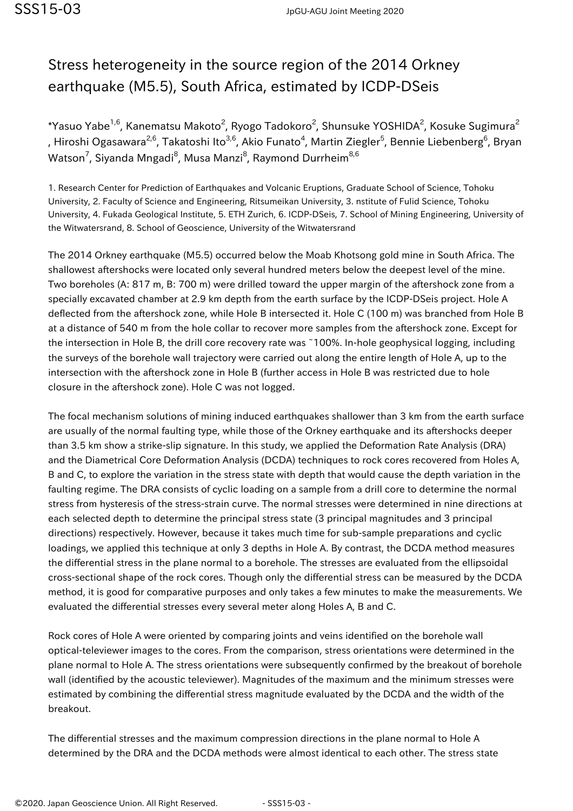## Stress heterogeneity in the source region of the 2014 Orkney earthquake (M5.5), South Africa, estimated by ICDP-DSeis

\*Yasuo Yabe $^{1,6}$ , Kanematsu Makoto $^2$ , Ryogo Tadokoro $^2$ , Shunsuke YOSHIDA $^2$ , Kosuke Sugimura $^2$ , Hiroshi Ogasawara<sup>2,6</sup>, Takatoshi Ito<sup>3,6</sup>, Akio Funato<sup>4</sup>, Martin Ziegler<sup>5</sup>, Bennie Liebenberg<sup>6</sup>, Bryan Watson<sup>7</sup>, Siyanda Mngadi<sup>8</sup>, Musa Manzi<sup>8</sup>, Raymond Durrheim<sup>8,6</sup>

1. Research Center for Prediction of Earthquakes and Volcanic Eruptions, Graduate School of Science, Tohoku University, 2. Faculty of Science and Engineering, Ritsumeikan University, 3. nstitute of Fulid Science, Tohoku University, 4. Fukada Geological Institute, 5. ETH Zurich, 6. ICDP-DSeis, 7. School of Mining Engineering, University of the Witwatersrand, 8. School of Geoscience, University of the Witwatersrand

The 2014 Orkney earthquake (M5.5) occurred below the Moab Khotsong gold mine in South Africa. The shallowest aftershocks were located only several hundred meters below the deepest level of the mine. Two boreholes (A: 817 m, B: 700 m) were drilled toward the upper margin of the aftershock zone from a specially excavated chamber at 2.9 km depth from the earth surface by the ICDP-DSeis project. Hole A deflected from the aftershock zone, while Hole B intersected it. Hole C (100 m) was branched from Hole B at a distance of 540 m from the hole collar to recover more samples from the aftershock zone. Except for the intersection in Hole B, the drill core recovery rate was ~100%. In-hole geophysical logging, including the surveys of the borehole wall trajectory were carried out along the entire length of Hole A, up to the intersection with the aftershock zone in Hole B (further access in Hole B was restricted due to hole closure in the aftershock zone). Hole C was not logged.

The focal mechanism solutions of mining induced earthquakes shallower than 3 km from the earth surface are usually of the normal faulting type, while those of the Orkney earthquake and its aftershocks deeper than 3.5 km show a strike-slip signature. In this study, we applied the Deformation Rate Analysis (DRA) and the Diametrical Core Deformation Analysis (DCDA) techniques to rock cores recovered from Holes A, B and C, to explore the variation in the stress state with depth that would cause the depth variation in the faulting regime. The DRA consists of cyclic loading on a sample from a drill core to determine the normal stress from hysteresis of the stress-strain curve. The normal stresses were determined in nine directions at each selected depth to determine the principal stress state (3 principal magnitudes and 3 principal directions) respectively. However, because it takes much time for sub-sample preparations and cyclic loadings, we applied this technique at only 3 depths in Hole A. By contrast, the DCDA method measures the differential stress in the plane normal to a borehole. The stresses are evaluated from the ellipsoidal cross-sectional shape of the rock cores. Though only the differential stress can be measured by the DCDA method, it is good for comparative purposes and only takes a few minutes to make the measurements. We evaluated the differential stresses every several meter along Holes A, B and C.

Rock cores of Hole A were oriented by comparing joints and veins identified on the borehole wall optical-televiewer images to the cores. From the comparison, stress orientations were determined in the plane normal to Hole A. The stress orientations were subsequently confirmed by the breakout of borehole wall (identified by the acoustic televiewer). Magnitudes of the maximum and the minimum stresses were estimated by combining the differential stress magnitude evaluated by the DCDA and the width of the breakout.

The differential stresses and the maximum compression directions in the plane normal to Hole A determined by the DRA and the DCDA methods were almost identical to each other. The stress state